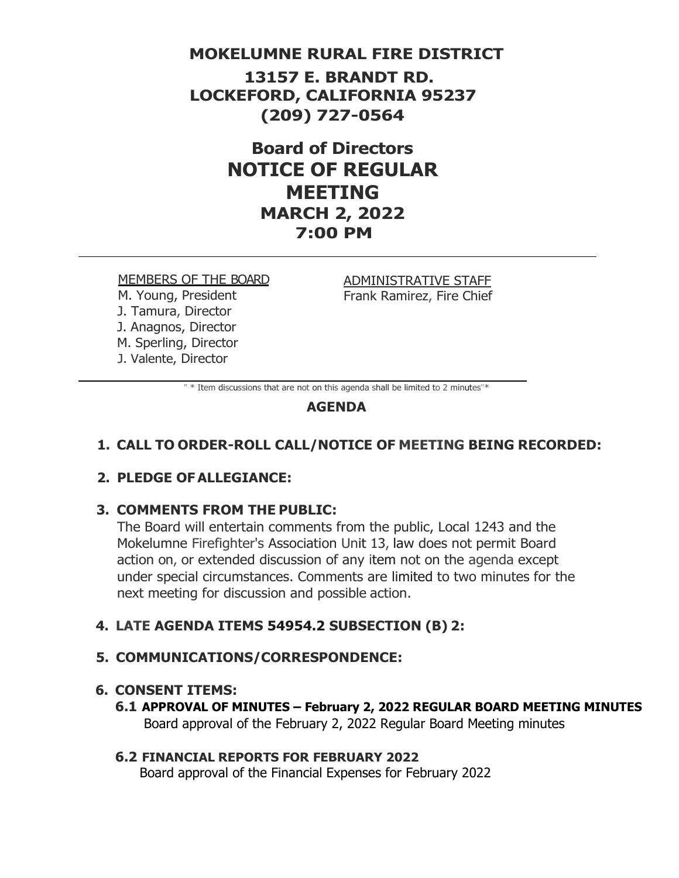## **MOKELUMNE RURAL FIRE DISTRICT**

**13157 E. BRANDT RD. LOCKEFORD, CALIFORNIA 95237 (209) 727-0564**

> **Board of Directors NOTICE OF REGULAR MEETING MARCH 2, 2022 7:00 PM**

#### MEMBERS OF THE BOARD

M. Young, President J. Tamura, Director J. Anagnos, Director M. Sperling, Director J. Valente, Director

ADMINISTRATIVE STAFF Frank Ramirez, Fire Chief

" \* Item discussions that are not on this agenda shall be limited to 2 minutes"\*

## **AGENDA**

## **1. CALL TO ORDER-ROLL CALL/NOTICE OF MEETING BEING RECORDED:**

## **2. PLEDGE OFALLEGIANCE:**

### **3. COMMENTS FROM THE PUBLIC:**

The Board will entertain comments from the public, Local 1243 and the Mokelumne Firefighter's Association Unit 13, law does not permit Board action on, or extended discussion of any item not on the agenda except under special circumstances. Comments are limited to two minutes for the next meeting for discussion and possible action.

### **4. LATE AGENDA ITEMS 54954.2 SUBSECTION (B) 2:**

### **5. COMMUNICATIONS/CORRESPONDENCE:**

#### **6. CONSENT ITEMS:**

**6.1 APPROVAL OF MINUTES – February 2, 2022 REGULAR BOARD MEETING MINUTES** Board approval of the February 2, 2022 Regular Board Meeting minutes

## **6.2 FINANCIAL REPORTS FOR FEBRUARY 2022**

Board approval of the Financial Expenses for February 2022